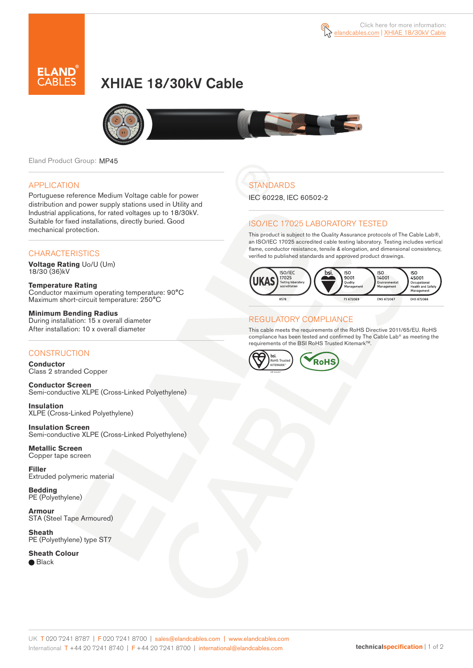



# XHIAE 18/30kV Cable



Eland Product Group: MP45

### APPLICATION

Portuguese reference Medium Voltage cable for power distribution and power supply stations used in Utility and Industrial applications, for rated voltages up to 18/30kV. Suitable for fixed installations, directly buried. Good mechanical protection.

### **CHARACTERISTICS**

**Voltage Rating** Uo/U (Um) 18/30 (36)kV

**Temperature Rating** Conductor maximum operating temperature: 90°C Maximum short-circuit temperature: 250°C

**Minimum Bending Radius** During installation: 15 x overall diameter After installation: 10 x overall diameter

### **CONSTRUCTION**

**Conductor**  Class 2 stranded Copper

**Conductor Screen** Semi-conductive XLPE (Cross-Linked Polyethylene)

**Insulation** XLPE (Cross-Linked Polyethylene)

**Insulation Screen** Semi-conductive XLPE (Cross-Linked Polyethylene)

**Metallic Screen**  Copper tape screen

**Filler** Extruded polymeric material

**Bedding** PE (Polyethylene)

**Armour** STA (Steel Tape Armoured)

**Sheath** PE (Polyethylene) type ST7

**Sheath Colour** 

● Black

# **STANDARDS**

IEC 60228, IEC 60502-2

### ISO/IEC 17025 LABORATORY TESTED

This product is subject to the Quality Assurance protocols of The Cable Lab®, an ISO/IEC 17025 accredited cable testing laboratory. Testing includes vertical flame, conductor resistance, tensile & elongation, and dimensional consistency, verified to published standards and approved product drawings.



### REGULATORY COMPLIANCE

This cable meets the requirements of the RoHS Directive 2011/65/EU. RoHS compliance has been tested and confirmed by The Cable Lab® as meeting the requirements of the BSI RoHS Trusted Kitemark™.